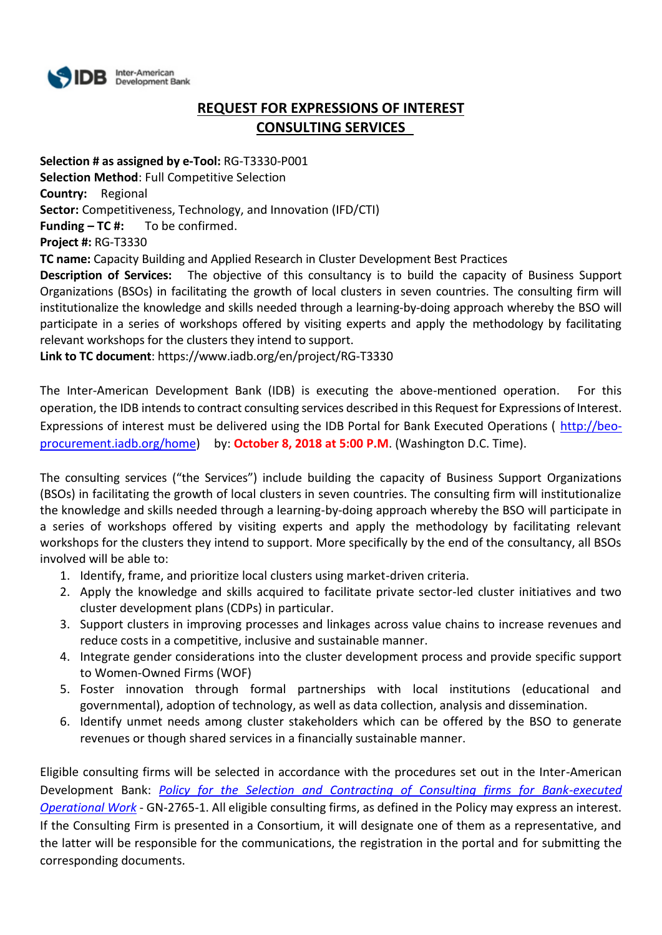

# **REQUEST FOR EXPRESSIONS OF INTEREST CONSULTING SERVICES**

**Selection # as assigned by e-Tool:** RG-T3330-P001 **Selection Method**: Full Competitive Selection **Country:** Regional **Sector:** Competitiveness, Technology, and Innovation (IFD/CTI) **Funding – TC #:** To be confirmed. **Project #:** RG-T3330 **TC name:** Capacity Building and Applied Research in Cluster Development Best Practices

**Description of Services:** The objective of this consultancy is to build the capacity of Business Support Organizations (BSOs) in facilitating the growth of local clusters in seven countries. The consulting firm will institutionalize the knowledge and skills needed through a learning-by-doing approach whereby the BSO will participate in a series of workshops offered by visiting experts and apply the methodology by facilitating relevant workshops for the clusters they intend to support.

**Link to TC document**: https://www.iadb.org/en/project/RG-T3330

The Inter-American Development Bank (IDB) is executing the above-mentioned operation. For this operation, the IDB intends to contract consulting services described in this Request for Expressions of Interest. Expressions of interest must be delivered using the IDB Portal for Bank Executed Operations ( [http://beo](http://beo-procurement.iadb.org/home)[procurement.iadb.org/home\)](http://beo-procurement.iadb.org/home) by: **October 8, 2018 at 5:00 P.M**. (Washington D.C. Time).

The consulting services ("the Services") include building the capacity of Business Support Organizations (BSOs) in facilitating the growth of local clusters in seven countries. The consulting firm will institutionalize the knowledge and skills needed through a learning-by-doing approach whereby the BSO will participate in a series of workshops offered by visiting experts and apply the methodology by facilitating relevant workshops for the clusters they intend to support. More specifically by the end of the consultancy, all BSOs involved will be able to:

- 1. Identify, frame, and prioritize local clusters using market-driven criteria.
- 2. Apply the knowledge and skills acquired to facilitate private sector-led cluster initiatives and two cluster development plans (CDPs) in particular.
- 3. Support clusters in improving processes and linkages across value chains to increase revenues and reduce costs in a competitive, inclusive and sustainable manner.
- 4. Integrate gender considerations into the cluster development process and provide specific support to Women-Owned Firms (WOF)
- 5. Foster innovation through formal partnerships with local institutions (educational and governmental), adoption of technology, as well as data collection, analysis and dissemination.
- 6. Identify unmet needs among cluster stakeholders which can be offered by the BSO to generate revenues or though shared services in a financially sustainable manner.

Eligible consulting firms will be selected in accordance with the procedures set out in the Inter-American Development Bank: *[Policy for the Selection and Contracting of Consulting firms for Bank-executed](http://idbdocs.iadb.org/wsdocs/getdocument.aspx?DOCNUM=38988574)  [Operational Work](http://idbdocs.iadb.org/wsdocs/getdocument.aspx?DOCNUM=38988574)* - GN-2765-1. All eligible consulting firms, as defined in the Policy may express an interest. If the Consulting Firm is presented in a Consortium, it will designate one of them as a representative, and the latter will be responsible for the communications, the registration in the portal and for submitting the corresponding documents.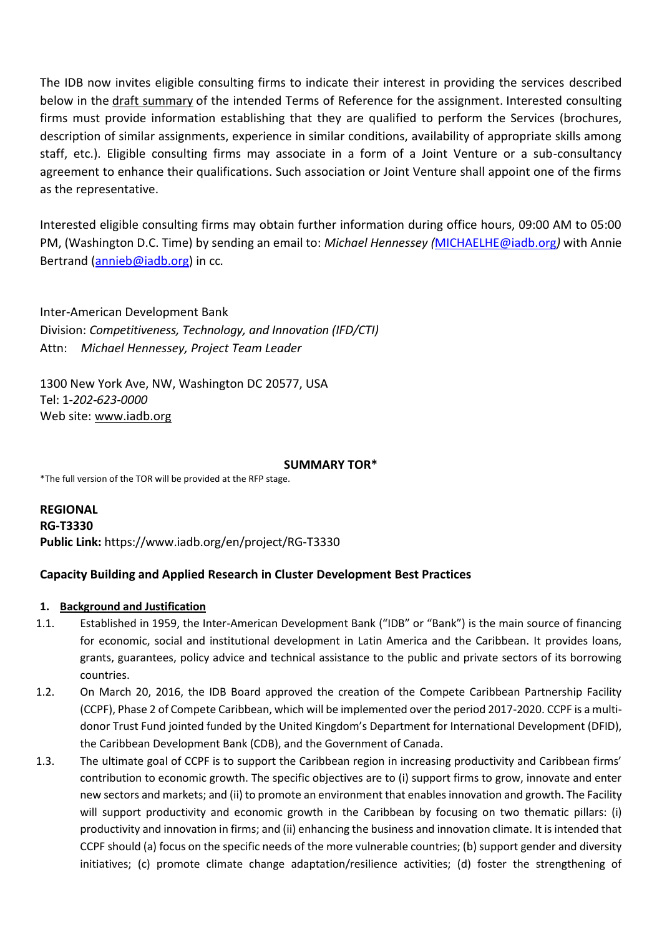The IDB now invites eligible consulting firms to indicate their interest in providing the services described below in the draft summary of the intended Terms of Reference for the assignment. Interested consulting firms must provide information establishing that they are qualified to perform the Services (brochures, description of similar assignments, experience in similar conditions, availability of appropriate skills among staff, etc.). Eligible consulting firms may associate in a form of a Joint Venture or a sub-consultancy agreement to enhance their qualifications. Such association or Joint Venture shall appoint one of the firms as the representative.

Interested eligible consulting firms may obtain further information during office hours, 09:00 AM to 05:00 PM, (Washington D.C. Time) by sending an email to: *Michael Hennessey (*[MICHAELHE@iadb.org](mailto:MICHAELHE@iadb.org)*)* with Annie Bertrand [\(annieb@iadb.org\)](mailto:annieb@iadb.org) in cc*.*

Inter-American Development Bank Division: *Competitiveness, Technology, and Innovation (IFD/CTI)* Attn: *Michael Hennessey, Project Team Leader*

1300 New York Ave, NW, Washington DC 20577, USA Tel: 1-*202-623-0000* Web site: [www.iadb.org](http://www.iadb.org/)

#### **SUMMARY TOR\***

\*The full version of the TOR will be provided at the RFP stage.

**REGIONAL RG-T3330 Public Link:** https://www.iadb.org/en/project/RG-T3330

## **Capacity Building and Applied Research in Cluster Development Best Practices**

## **1. Background and Justification**

- 1.1. Established in 1959, the Inter-American Development Bank ("IDB" or "Bank") is the main source of financing for economic, social and institutional development in Latin America and the Caribbean. It provides loans, grants, guarantees, policy advice and technical assistance to the public and private sectors of its borrowing countries.
- 1.2. On March 20, 2016, the IDB Board approved the creation of the Compete Caribbean Partnership Facility (CCPF), Phase 2 of Compete Caribbean, which will be implemented over the period 2017-2020. CCPF is a multidonor Trust Fund jointed funded by the United Kingdom's Department for International Development (DFID), the Caribbean Development Bank (CDB), and the Government of Canada.
- 1.3. The ultimate goal of CCPF is to support the Caribbean region in increasing productivity and Caribbean firms' contribution to economic growth. The specific objectives are to (i) support firms to grow, innovate and enter new sectors and markets; and (ii) to promote an environment that enables innovation and growth. The Facility will support productivity and economic growth in the Caribbean by focusing on two thematic pillars: (i) productivity and innovation in firms; and (ii) enhancing the business and innovation climate. It is intended that CCPF should (a) focus on the specific needs of the more vulnerable countries; (b) support gender and diversity initiatives; (c) promote climate change adaptation/resilience activities; (d) foster the strengthening of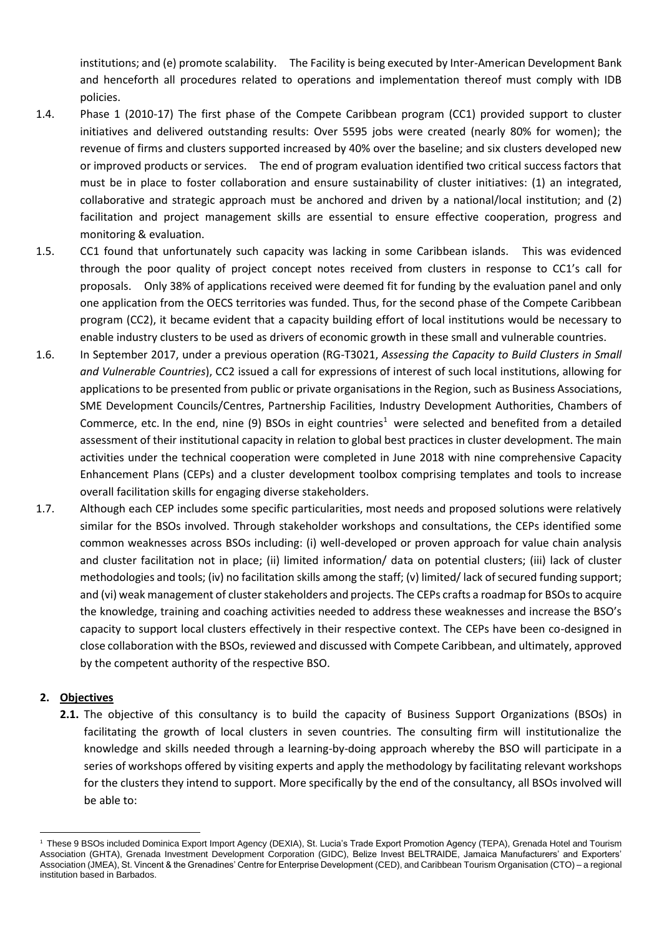institutions; and (e) promote scalability. The Facility is being executed by Inter-American Development Bank and henceforth all procedures related to operations and implementation thereof must comply with IDB policies.

- 1.4. Phase 1 (2010-17) The first phase of the Compete Caribbean program (CC1) provided support to cluster initiatives and delivered outstanding results: Over 5595 jobs were created (nearly 80% for women); the revenue of firms and clusters supported increased by 40% over the baseline; and six clusters developed new or improved products or services. The end of program evaluation identified two critical success factors that must be in place to foster collaboration and ensure sustainability of cluster initiatives: (1) an integrated, collaborative and strategic approach must be anchored and driven by a national/local institution; and (2) facilitation and project management skills are essential to ensure effective cooperation, progress and monitoring & evaluation.
- 1.5. CC1 found that unfortunately such capacity was lacking in some Caribbean islands. This was evidenced through the poor quality of project concept notes received from clusters in response to CC1's call for proposals. Only 38% of applications received were deemed fit for funding by the evaluation panel and only one application from the OECS territories was funded. Thus, for the second phase of the Compete Caribbean program (CC2), it became evident that a capacity building effort of local institutions would be necessary to enable industry clusters to be used as drivers of economic growth in these small and vulnerable countries.
- 1.6. In September 2017, under a previous operation (RG-T3021, *Assessing the Capacity to Build Clusters in Small and Vulnerable Countries*), CC2 issued a call for expressions of interest of such local institutions, allowing for applications to be presented from public or private organisations in the Region, such as Business Associations, SME Development Councils/Centres, Partnership Facilities, Industry Development Authorities, Chambers of Commerce, etc. In the end, nine (9) BSOs in eight countries<sup>1</sup> were selected and benefited from a detailed assessment of their institutional capacity in relation to global best practices in cluster development. The main activities under the technical cooperation were completed in June 2018 with nine comprehensive Capacity Enhancement Plans (CEPs) and a cluster development toolbox comprising templates and tools to increase overall facilitation skills for engaging diverse stakeholders.
- 1.7. Although each CEP includes some specific particularities, most needs and proposed solutions were relatively similar for the BSOs involved. Through stakeholder workshops and consultations, the CEPs identified some common weaknesses across BSOs including: (i) well-developed or proven approach for value chain analysis and cluster facilitation not in place; (ii) limited information/ data on potential clusters; (iii) lack of cluster methodologies and tools; (iv) no facilitation skills among the staff; (v) limited/ lack of secured funding support; and (vi) weak management of cluster stakeholders and projects. The CEPs crafts a roadmap for BSOs to acquire the knowledge, training and coaching activities needed to address these weaknesses and increase the BSO's capacity to support local clusters effectively in their respective context. The CEPs have been co-designed in close collaboration with the BSOs, reviewed and discussed with Compete Caribbean, and ultimately, approved by the competent authority of the respective BSO.

#### **2. Objectives**

**2.1.** The objective of this consultancy is to build the capacity of Business Support Organizations (BSOs) in facilitating the growth of local clusters in seven countries. The consulting firm will institutionalize the knowledge and skills needed through a learning-by-doing approach whereby the BSO will participate in a series of workshops offered by visiting experts and apply the methodology by facilitating relevant workshops for the clusters they intend to support. More specifically by the end of the consultancy, all BSOs involved will be able to:

<sup>&</sup>lt;u>.</u> <sup>1</sup> These 9 BSOs included Dominica Export Import Agency (DEXIA), St. Lucia's Trade Export Promotion Agency (TEPA), Grenada Hotel and Tourism Association (GHTA), Grenada Investment Development Corporation (GIDC), Belize Invest BELTRAIDE, Jamaica Manufacturers' and Exporters' Association (JMEA), St. Vincent & the Grenadines' Centre for Enterprise Development (CED), and Caribbean Tourism Organisation (CTO) – a regional institution based in Barbados.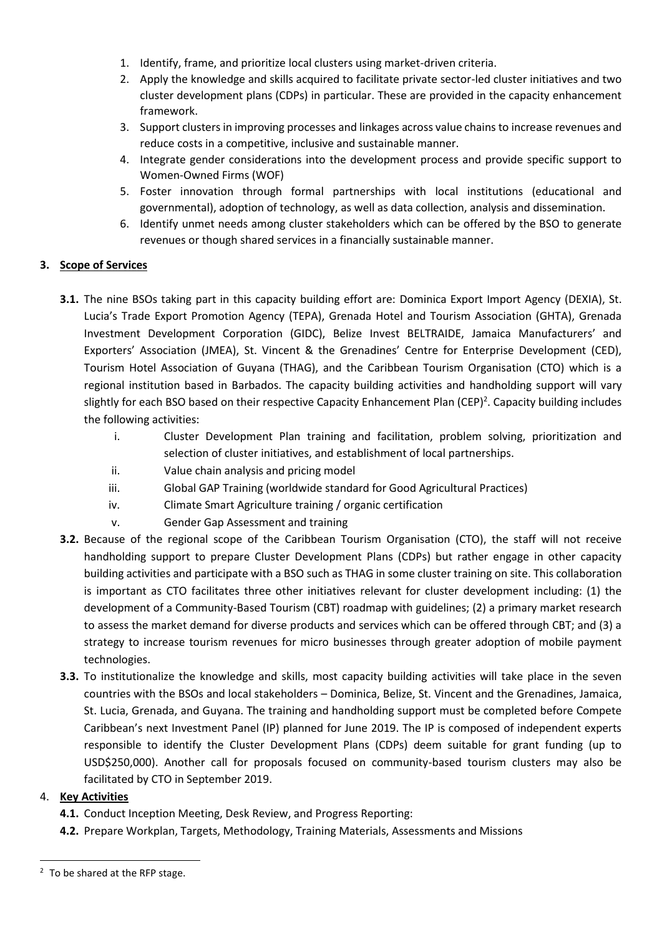- 1. Identify, frame, and prioritize local clusters using market-driven criteria.
- 2. Apply the knowledge and skills acquired to facilitate private sector-led cluster initiatives and two cluster development plans (CDPs) in particular. These are provided in the capacity enhancement framework.
- 3. Support clusters in improving processes and linkages across value chains to increase revenues and reduce costs in a competitive, inclusive and sustainable manner.
- 4. Integrate gender considerations into the development process and provide specific support to Women-Owned Firms (WOF)
- 5. Foster innovation through formal partnerships with local institutions (educational and governmental), adoption of technology, as well as data collection, analysis and dissemination.
- 6. Identify unmet needs among cluster stakeholders which can be offered by the BSO to generate revenues or though shared services in a financially sustainable manner.

# **3. Scope of Services**

- **3.1.** The nine BSOs taking part in this capacity building effort are: Dominica Export Import Agency (DEXIA), St. Lucia's Trade Export Promotion Agency (TEPA), Grenada Hotel and Tourism Association (GHTA), Grenada Investment Development Corporation (GIDC), Belize Invest BELTRAIDE, Jamaica Manufacturers' and Exporters' Association (JMEA), St. Vincent & the Grenadines' Centre for Enterprise Development (CED), Tourism Hotel Association of Guyana (THAG), and the Caribbean Tourism Organisation (CTO) which is a regional institution based in Barbados. The capacity building activities and handholding support will vary slightly for each BSO based on their respective Capacity Enhancement Plan (CEP)<sup>2</sup>. Capacity building includes the following activities:
	- i. Cluster Development Plan training and facilitation, problem solving, prioritization and selection of cluster initiatives, and establishment of local partnerships.
	- ii. Value chain analysis and pricing model
	- iii. Global GAP Training (worldwide standard for Good Agricultural Practices)
	- iv. Climate Smart Agriculture training / organic certification
	- v. Gender Gap Assessment and training
- **3.2.** Because of the regional scope of the Caribbean Tourism Organisation (CTO), the staff will not receive handholding support to prepare Cluster Development Plans (CDPs) but rather engage in other capacity building activities and participate with a BSO such as THAG in some cluster training on site. This collaboration is important as CTO facilitates three other initiatives relevant for cluster development including: (1) the development of a Community-Based Tourism (CBT) roadmap with guidelines; (2) a primary market research to assess the market demand for diverse products and services which can be offered through CBT; and (3) a strategy to increase tourism revenues for micro businesses through greater adoption of mobile payment technologies.
- **3.3.** To institutionalize the knowledge and skills, most capacity building activities will take place in the seven countries with the BSOs and local stakeholders – Dominica, Belize, St. Vincent and the Grenadines, Jamaica, St. Lucia, Grenada, and Guyana. The training and handholding support must be completed before Compete Caribbean's next Investment Panel (IP) planned for June 2019. The IP is composed of independent experts responsible to identify the Cluster Development Plans (CDPs) deem suitable for grant funding (up to USD\$250,000). Another call for proposals focused on community-based tourism clusters may also be facilitated by CTO in September 2019.

## 4. **Key Activities**

1

- **4.1.** Conduct Inception Meeting, Desk Review, and Progress Reporting:
- **4.2.** Prepare Workplan, Targets, Methodology, Training Materials, Assessments and Missions

<sup>&</sup>lt;sup>2</sup> To be shared at the RFP stage.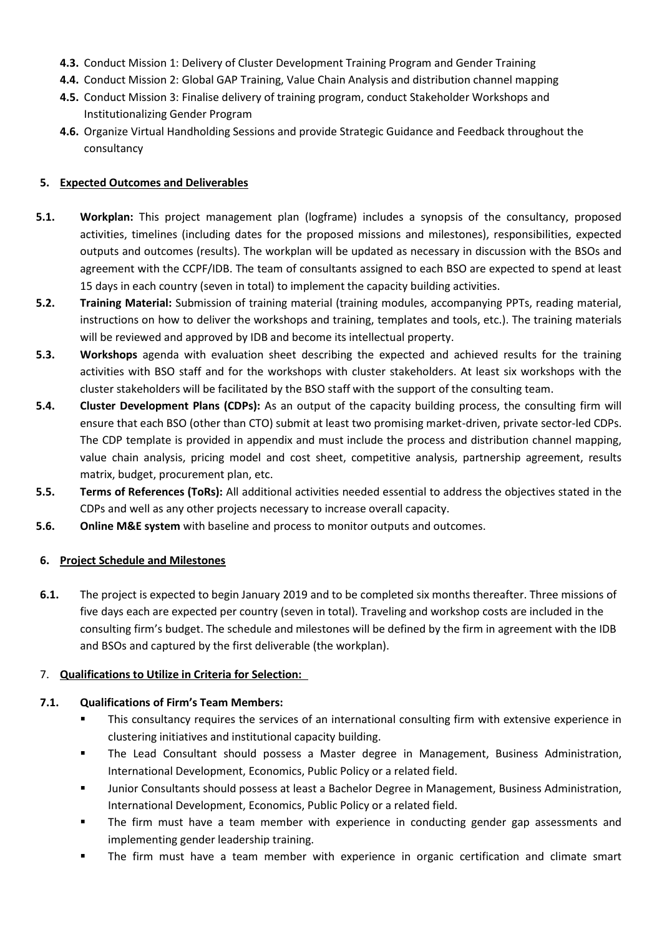- **4.3.** Conduct Mission 1: Delivery of Cluster Development Training Program and Gender Training
- **4.4.** Conduct Mission 2: Global GAP Training, Value Chain Analysis and distribution channel mapping
- **4.5.** Conduct Mission 3: Finalise delivery of training program, conduct Stakeholder Workshops and Institutionalizing Gender Program
- **4.6.** Organize Virtual Handholding Sessions and provide Strategic Guidance and Feedback throughout the consultancy

# **5. Expected Outcomes and Deliverables**

- **5.1. Workplan:** This project management plan (logframe) includes a synopsis of the consultancy, proposed activities, timelines (including dates for the proposed missions and milestones), responsibilities, expected outputs and outcomes (results). The workplan will be updated as necessary in discussion with the BSOs and agreement with the CCPF/IDB. The team of consultants assigned to each BSO are expected to spend at least 15 days in each country (seven in total) to implement the capacity building activities.
- **5.2. Training Material:** Submission of training material (training modules, accompanying PPTs, reading material, instructions on how to deliver the workshops and training, templates and tools, etc.). The training materials will be reviewed and approved by IDB and become its intellectual property.
- **5.3. Workshops** agenda with evaluation sheet describing the expected and achieved results for the training activities with BSO staff and for the workshops with cluster stakeholders. At least six workshops with the cluster stakeholders will be facilitated by the BSO staff with the support of the consulting team.
- **5.4. Cluster Development Plans (CDPs):** As an output of the capacity building process, the consulting firm will ensure that each BSO (other than CTO) submit at least two promising market-driven, private sector-led CDPs. The CDP template is provided in appendix and must include the process and distribution channel mapping, value chain analysis, pricing model and cost sheet, competitive analysis, partnership agreement, results matrix, budget, procurement plan, etc.
- **5.5. Terms of References (ToRs):** All additional activities needed essential to address the objectives stated in the CDPs and well as any other projects necessary to increase overall capacity.
- **5.6. Online M&E system** with baseline and process to monitor outputs and outcomes.

## **6. Project Schedule and Milestones**

**6.1.** The project is expected to begin January 2019 and to be completed six months thereafter. Three missions of five days each are expected per country (seven in total). Traveling and workshop costs are included in the consulting firm's budget. The schedule and milestones will be defined by the firm in agreement with the IDB and BSOs and captured by the first deliverable (the workplan).

# 7. **Qualifications to Utilize in Criteria for Selection:**

## **7.1. Qualifications of Firm's Team Members:**

- This consultancy requires the services of an international consulting firm with extensive experience in clustering initiatives and institutional capacity building.
- The Lead Consultant should possess a Master degree in Management, Business Administration, International Development, Economics, Public Policy or a related field.
- Junior Consultants should possess at least a Bachelor Degree in Management, Business Administration, International Development, Economics, Public Policy or a related field.
- The firm must have a team member with experience in conducting gender gap assessments and implementing gender leadership training.
- The firm must have a team member with experience in organic certification and climate smart